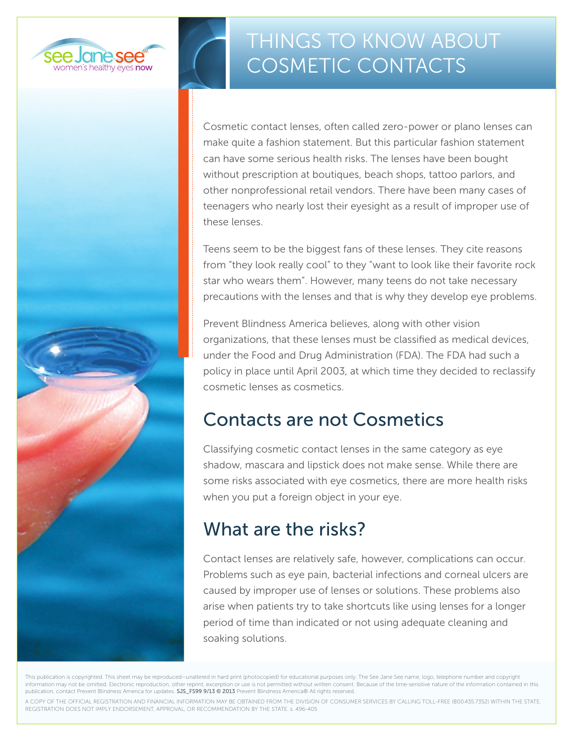

# Things to Know About COSMETIC CONTACTS

Cosmetic contact lenses, often called zero-power or plano lenses can make quite a fashion statement. But this particular fashion statement can have some serious health risks. The lenses have been bought without prescription at boutiques, beach shops, tattoo parlors, and other nonprofessional retail vendors. There have been many cases of teenagers who nearly lost their eyesight as a result of improper use of these lenses.

Teens seem to be the biggest fans of these lenses. They cite reasons from "they look really cool" to they "want to look like their favorite rock star who wears them". However, many teens do not take necessary precautions with the lenses and that is why they develop eye problems.

Prevent Blindness America believes, along with other vision organizations, that these lenses must be classified as medical devices, under the Food and Drug Administration (FDA). The FDA had such a policy in place until April 2003, at which time they decided to reclassify cosmetic lenses as cosmetics.

## Contacts are not Cosmetics

Classifying cosmetic contact lenses in the same category as eye shadow, mascara and lipstick does not make sense. While there are some risks associated with eye cosmetics, there are more health risks when you put a foreign object in your eye.

## What are the risks?

Contact lenses are relatively safe, however, complications can occur. Problems such as eye pain, bacterial infections and corneal ulcers are caused by improper use of lenses or solutions. These problems also arise when patients try to take shortcuts like using lenses for a longer period of time than indicated or not using adequate cleaning and soaking solutions.

This publication is copyrighted. This sheet may be reproduced—unaltered in hard print (photocopied) for educational purposes only. The See Jane See name, logo, telephone number and copyright information may not be omitted. Electronic reproduction, other reprint, excerption or use is not permitted without written consent. Because of the time-sensitive nature of the information contained in this publication, contact Prevent Blindness America for updates. SJS\_FS99 9/13 @ 2013 Prevent Blindness America® All rights reserved.

A COPY OF THE OFFICIAL REGISTRATION AND FINANCIAL INFORMATION MAY BE OBTAINED FROM THE DIVISION OF CONSUMER SERVICES BY CALLING TOLL-FREE (800.435.7352) WITHIN THE STATE. REGISTRATION DOES NOT IMPLY ENDORSEMENT, APPROVAL, OR RECOMMENDATION BY THE STATE. s. 496-405